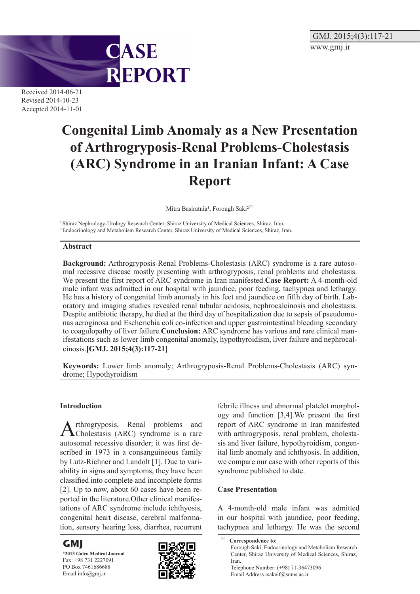

Received 2014-06-21 Revised 2014-10-23 Accepted 2014-11-01

# **Congenital Limb Anomaly as a New Presentation of Arthrogryposis-Renal Problems-Cholestasis (ARC) Syndrome in an Iranian Infant: A Case Report**

Mitra Basiratnia<sup>1</sup>, Forough Saki<sup>2⊠</sup>

<sup>1</sup> Shiraz Nephrology-Urology Research Center, Shiraz University of Medical Sciences, Shiraz, Iran. 2 Endocrinology and Metabolism Research Center, Shiraz University of Medical Sciences, Shiraz, Iran.

#### **Abstract**

**Background:** Arthrogryposis-Renal Problems-Cholestasis (ARC) syndrome is a rare autosomal recessive disease mostly presenting with arthrogryposis, renal problems and cholestasis. We present the first report of ARC syndrome in Iran manifested.**Case Report:** A 4-month-old male infant was admitted in our hospital with jaundice, poor feeding, tachypnea and lethargy. He has a history of congenital limb anomaly in his feet and jaundice on fifth day of birth. Laboratory and imaging studies revealed renal tubular acidosis, nephrocalcinosis and cholestasis. Despite antibiotic therapy, he died at the third day of hospitalization due to sepsis of pseudomonas aeroginosa and Escherichia coli co-infection and upper gastrointestinal bleeding secondary to coagulopathy of liver failure.**Conclusion:** ARC syndrome has various and rare clinical manifestations such as lower limb congenital anomaly, hypothyroidism, liver failure and nephrocalcinosis.**[GMJ. 2015;4(3):117-21]**

**Keywords:** Lower limb anomaly; Arthrogryposis-Renal Problems-Cholestasis (ARC) syndrome; Hypothyroidism

## **Introduction**

rthrogryposis, Renal problems and Cholestasis (ARC) syndrome is a rare autosomal recessive disorder; it was first described in 1973 in a consanguineous family by Lutz-Richner and Landolt [1]. Due to variability in signs and symptoms, they have been classified into complete and incomplete forms [2]. Up to now, about 60 cases have been reported in the literature.Other clinical manifestations of ARC syndrome include ichthyosis, congenital heart disease, cerebral malformation, sensory hearing loss, diarrhea, recurrent

**GMJ ©2013 Galen Medical Journal** Fax: +98 731 2227091

PO Box 7461686688 Email:info@gmj.ir



febrile illness and abnormal platelet morphology and function [3,4].We present the first report of ARC syndrome in Iran manifested with arthrogryposis, renal problem, cholestasis and liver failure, hypothyroidism, congenital limb anomaly and ichthyosis. In addition, we compare our case with other reports of this syndrome published to date.

# **Case Presentation**

A 4-month-old male infant was admitted in our hospital with jaundice, poor feeding, tachypnea and lethargy. He was the second

**Correspondence to:** Forough Saki, Endocrinology and Metabolism Research Center, Shiraz University of Medical Sciences, Shiraz, Iran. Telephone Number: (+98) 71-36473096 Email Address **:**sakeif@sums.ac.ir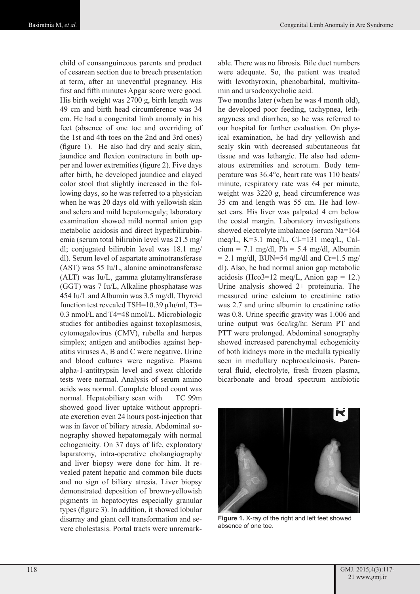child of consanguineous parents and product of cesarean section due to breech presentation at term, after an uneventful pregnancy. His first and fifth minutes Apgar score were good. His birth weight was 2700 g, birth length was 49 cm and birth head circumference was 34 cm. He had a congenital limb anomaly in his feet (absence of one toe and overriding of the 1st and 4th toes on the 2nd and 3rd ones) (figure 1). He also had dry and scaly skin, jaundice and flexion contracture in both upper and lower extremities (figure 2). Five days after birth, he developed jaundice and clayed color stool that slightly increased in the following days, so he was referred to a physician when he was 20 days old with yellowish skin and sclera and mild hepatomegaly; laboratory examination showed mild normal anion gap metabolic acidosis and direct hyperbilirubinemia (serum total bilirubin level was 21.5 mg/ dl; conjugated bilirubin level was 18.1 mg/ dl). Serum level of aspartate aminotransferase (AST) was 55 Iu/L, alanine aminotransferase (ALT) was Iu/L, gamma glutamyltransferase (GGT) was 7 Iu/L, Alkaline phosphatase was 454 Iu/L and Albumin was 3.5 mg/dl. Thyroid function test revealed TSH=10.39  $\mu$ Iu/ml, T3= 0.3 nmol/L and T4=48 nmol/L. Microbiologic studies for antibodies against toxoplasmosis, cytomegalovirus (CMV), rubella and herpes simplex; antigen and antibodies against hepatitis viruses A, B and C were negative. Urine and blood cultures were negative. Plasma alpha-1-antitrypsin level and sweat chloride tests were normal. Analysis of serum amino acids was normal. Complete blood count was normal. Hepatobiliary scan with TC 99m showed good liver uptake without appropriate excretion even 24 hours post-injection that was in favor of biliary atresia. Abdominal sonography showed hepatomegaly with normal echogenicity. On 37 days of life, exploratory laparatomy, intra-operative cholangiography and liver biopsy were done for him. It revealed patent hepatic and common bile ducts and no sign of biliary atresia. Liver biopsy demonstrated deposition of brown-yellowish pigments in hepatocytes especially granular types (figure 3). In addition, it showed lobular disarray and giant cell transformation and severe cholestasis. Portal tracts were unremarkable. There was no fibrosis. Bile duct numbers were adequate. So, the patient was treated with levothyroxin, phenobarbital, multivitamin and ursodeoxycholic acid.

Two months later (when he was 4 month old), he developed poor feeding, tachypnea, lethargyness and diarrhea, so he was referred to our hospital for further evaluation. On physical examination, he had dry yellowish and scaly skin with decreased subcutaneous fat tissue and was lethargic. He also had edematous extremities and scrotum. Body temperature was 36.4°c, heart rate was 110 beats/ minute, respiratory rate was 64 per minute, weight was 3220 g, head circumference was 35 cm and length was 55 cm. He had lowset ears. His liver was palpated 4 cm below the costal margin. Laboratory investigations showed electrolyte imbalance (serum Na=164 meq/L, K=3.1 meq/L, Cl-=131 meq/L, Calcium = 7.1 mg/dl, Ph = 5.4 mg/dl, Albumin  $= 2.1$  mg/dl, BUN=54 mg/dl and Cr=1.5 mg/ dl). Also, he had normal anion gap metabolic acidosis (Hco $3=12$  meq/L, Anion gap = 12.) Urine analysis showed 2+ proteinuria. The measured urine calcium to creatinine ratio was 2.7 and urine albumin to creatinine ratio was 0.8. Urine specific gravity was 1.006 and urine output was 6cc/kg/hr. Serum PT and PTT were prolonged. Abdominal sonography showed increased parenchymal echogenicity of both kidneys more in the medulla typically seen in medullary nephrocalcinosis. Parenteral fluid, electrolyte, fresh frozen plasma, bicarbonate and broad spectrum antibiotic



**Figure 1.** X-ray of the right and left feet showed absence of one toe.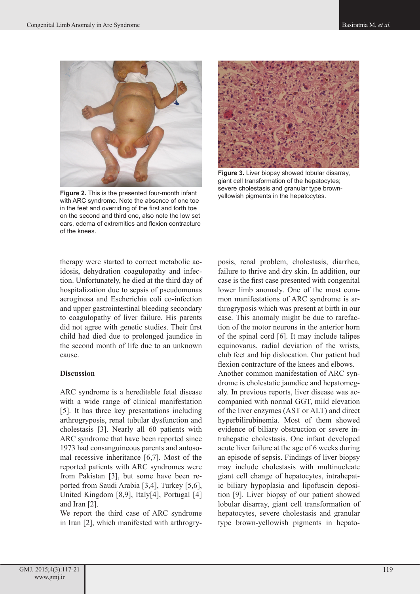

**Figure 2.** This is the presented four-month infant with ARC syndrome. Note the absence of one toe in the feet and overriding of the first and forth toe on the second and third one, also note the low set ears, edema of extremities and flexion contracture of the knees.



**Figure 3.** Liver biopsy showed lobular disarray, giant cell transformation of the hepatocytes; severe cholestasis and granular type brownyellowish pigments in the hepatocytes.

therapy were started to correct metabolic acidosis, dehydration coagulopathy and infection. Unfortunately, he died at the third day of hospitalization due to sepsis of pseudomonas aeroginosa and Escherichia coli co-infection and upper gastrointestinal bleeding secondary to coagulopathy of liver failure. His parents did not agree with genetic studies. Their first child had died due to prolonged jaundice in the second month of life due to an unknown cause.

#### **Discussion**

ARC syndrome is a hereditable fetal disease with a wide range of clinical manifestation [5]. It has three key presentations including arthrogryposis, renal tubular dysfunction and cholestasis [3]. Nearly all 60 patients with ARC syndrome that have been reported since 1973 had consanguineous parents and autosomal recessive inheritance [6,7]. Most of the reported patients with ARC syndromes were from Pakistan [3], but some have been reported from Saudi Arabia [3,4], Turkey [5,6], United Kingdom [8,9], Italy[4], Portugal [4] and Iran [2].

We report the third case of ARC syndrome in Iran [2], which manifested with arthrogry-

posis, renal problem, cholestasis, diarrhea, failure to thrive and dry skin. In addition, our case is the first case presented with congenital lower limb anomaly. One of the most common manifestations of ARC syndrome is arthrogryposis which was present at birth in our case. This anomaly might be due to rarefaction of the motor neurons in the anterior horn of the spinal cord [6]. It may include talipes equinovarus, radial deviation of the wrists, club feet and hip dislocation. Our patient had flexion contracture of the knees and elbows. Another common manifestation of ARC syndrome is cholestatic jaundice and hepatomegaly. In previous reports, liver disease was accompanied with normal GGT, mild elevation of the liver enzymes (AST or ALT) and direct hyperbilirubinemia. Most of them showed evidence of biliary obstruction or severe intrahepatic cholestasis. One infant developed acute liver failure at the age of 6 weeks during an episode of sepsis. Findings of liver biopsy may include cholestasis with multinucleate giant cell change of hepatocytes, intrahepatic biliary hypoplasia and lipofuscin deposition [9]. Liver biopsy of our patient showed lobular disarray, giant cell transformation of hepatocytes, severe cholestasis and granular type brown-yellowish pigments in hepato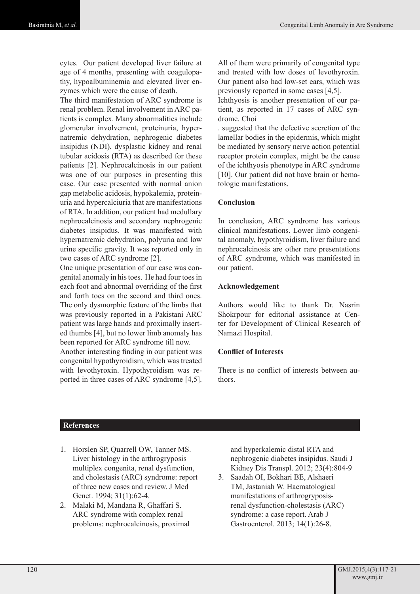cytes. Our patient developed liver failure at age of 4 months, presenting with coagulopathy, hypoalbuminemia and elevated liver enzymes which were the cause of death.

The third manifestation of ARC syndrome is renal problem. Renal involvement in ARC patients is complex. Many abnormalities include glomerular involvement, proteinuria, hypernatremic dehydration, nephrogenic diabetes insipidus (NDI), dysplastic kidney and renal tubular acidosis (RTA) as described for these patients [2]. Nephrocalcinosis in our patient was one of our purposes in presenting this case. Our case presented with normal anion gap metabolic acidosis, hypokalemia, proteinuria and hypercalciuria that are manifestations of RTA. In addition, our patient had medullary nephrocalcinosis and secondary nephrogenic diabetes insipidus. It was manifested with hypernatremic dehydration, polyuria and low urine specific gravity. It was reported only in two cases of ARC syndrome [2].

One unique presentation of our case was congenital anomaly in his toes. He had four toes in each foot and abnormal overriding of the first and forth toes on the second and third ones. The only dysmorphic feature of the limbs that was previously reported in a Pakistani ARC patient was large hands and proximally inserted thumbs [4], but no lower limb anomaly has been reported for ARC syndrome till now.

Another interesting finding in our patient was congenital hypothyroidism, which was treated with levothyroxin. Hypothyroidism was reported in three cases of ARC syndrome [4,5].

All of them were primarily of congenital type and treated with low doses of levothyroxin. Our patient also had low-set ears, which was previously reported in some cases [4,5].

Ichthyosis is another presentation of our patient, as reported in 17 cases of ARC syndrome. Choi

. suggested that the defective secretion of the lamellar bodies in the epidermis, which might be mediated by sensory nerve action potential receptor protein complex, might be the cause of the ichthyosis phenotype in ARC syndrome [10]. Our patient did not have brain or hematologic manifestations.

#### **Conclusion**

In conclusion, ARC syndrome has various clinical manifestations. Lower limb congenital anomaly, hypothyroidism, liver failure and nephrocalcinosis are other rare presentations of ARC syndrome, which was manifested in our patient.

#### **Acknowledgement**

Authors would like to thank Dr. Nasrin Shokrpour for editorial assistance at Center for Development of Clinical Research of Namazi Hospital.

# **Conflict of Interests**

There is no conflict of interests between authors.

## **References**

- 1. Horslen SP, Quarrell OW, Tanner MS. Liver histology in the arthrogryposis multiplex congenita, renal dysfunction, and cholestasis (ARC) syndrome: report of three new cases and review. J Med Genet. 1994; 31(1):62-4.
- 2. Malaki M, Mandana R, Ghaffari S. ARC syndrome with complex renal problems: nephrocalcinosis, proximal

and hyperkalemic distal RTA and nephrogenic diabetes insipidus. Saudi J Kidney Dis Transpl. 2012; 23(4):804-9

3. Saadah OI, Bokhari BE, Alshaeri TM, Jastaniah W. Haematological manifestations of arthrogryposisrenal dysfunction-cholestasis (ARC) syndrome: a case report. Arab J Gastroenterol. 2013; 14(1):26-8.